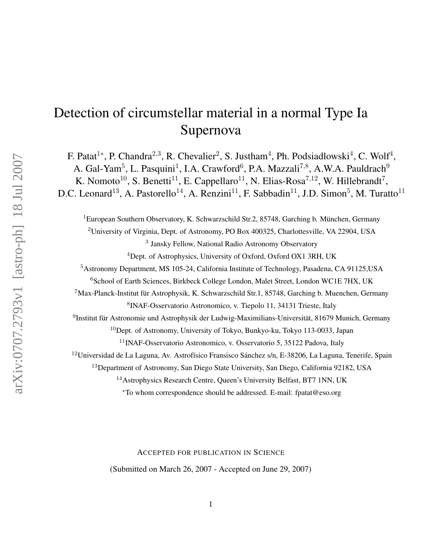# Detection of circumstellar material in a normal Type Ia Supernova

F. Patat<sup>1\*</sup>, P. Chandra<sup>2,3</sup>, R. Chevalier<sup>2</sup>, S. Justham<sup>4</sup>, Ph. Podsiadlowski<sup>4</sup>, C. Wolf<sup>4</sup>, A. Gal-Yam<sup>5</sup>, L. Pasquini<sup>1</sup>, I.A. Crawford<sup>6</sup>, P.A. Mazzali<sup>7,8</sup>, A.W.A. Pauldrach<sup>9</sup>

K. Nomoto<sup>10</sup>, S. Benetti<sup>11</sup>, E. Cappellaro<sup>11</sup>, N. Elias-Rosa<sup>7,12</sup>, W. Hillebrandt<sup>7</sup>, D.C. Leonard<sup>13</sup>, A. Pastorello<sup>14</sup>, A. Renzini<sup>11</sup>, F. Sabbadin<sup>11</sup>, J.D. Simon<sup>5</sup>, M. Turatto<sup>11</sup>

<sup>1</sup>European Southern Observatory, K. Schwarzschild Str.2, 85748, Garching b. München, Germany

<sup>2</sup>University of Virginia, Dept. of Astronomy, PO Box 400325, Charlottesville, VA 22904, USA

3 Jansky Fellow, National Radio Astronomy Observatory

<sup>4</sup>Dept. of Astrophysics, University of Oxford, Oxford OX1 3RH, UK

<sup>5</sup>Astronomy Department, MS 105-24, California Institute of Technology, Pasadena, CA 91125,USA

<sup>6</sup>School of Earth Sciences, Birkbeck College London, Malet Street, London WC1E 7HX, UK

 $7$ Max-Planck-Institut für Astrophysik, K. Schwarzschild Str.1, 85748, Garching b. Muenchen, Germany

8 INAF-Osservatorio Astronomico, v. Tiepolo 11, 34131 Trieste, Italy

<sup>9</sup>Institut für Astronomie und Astrophysik der Ludwig-Maximilians-Universität, 81679 Munich, Germany

<sup>10</sup>Dept. of Astronomy, University of Tokyo, Bunkyo-ku, Tokyo 113-0033, Japan

<sup>11</sup>INAF-Osservatorio Astronomico, v. Osservatorio 5, 35122 Padova, Italy

 $12$ Universidad de La Laguna, Av. Astrofísico Fransisco Sánchez s/n, E-38206, La Laguna, Tenerife, Spain

<sup>13</sup>Department of Astronomy, San Diego State University, San Diego, California 92182, USA

<sup>14</sup>Astrophysics Research Centre, Queen's University Belfast, BT7 1NN, UK

<sup>∗</sup>To whom correspondence should be addressed. E-mail: fpatat@eso.org

ACCEPTED FOR PUBLICATION IN SCIENCE

(Submitted on March 26, 2007 - Accepted on June 29, 2007)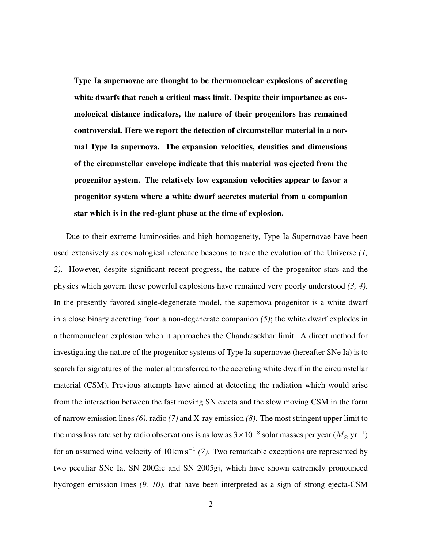Type Ia supernovae are thought to be thermonuclear explosions of accreting white dwarfs that reach a critical mass limit. Despite their importance as cosmological distance indicators, the nature of their progenitors has remained controversial. Here we report the detection of circumstellar material in a normal Type Ia supernova. The expansion velocities, densities and dimensions of the circumstellar envelope indicate that this material was ejected from the progenitor system. The relatively low expansion velocities appear to favor a progenitor system where a white dwarf accretes material from a companion star which is in the red-giant phase at the time of explosion.

Due to their extreme luminosities and high homogeneity, Type Ia Supernovae have been used extensively as cosmological reference beacons to trace the evolution of the Universe *(1, 2)*. However, despite significant recent progress, the nature of the progenitor stars and the physics which govern these powerful explosions have remained very poorly understood *(3, 4)*. In the presently favored single-degenerate model, the supernova progenitor is a white dwarf in a close binary accreting from a non-degenerate companion *(5)*; the white dwarf explodes in a thermonuclear explosion when it approaches the Chandrasekhar limit. A direct method for investigating the nature of the progenitor systems of Type Ia supernovae (hereafter SNe Ia) is to search for signatures of the material transferred to the accreting white dwarf in the circumstellar material (CSM). Previous attempts have aimed at detecting the radiation which would arise from the interaction between the fast moving SN ejecta and the slow moving CSM in the form of narrow emission lines *(6)*, radio *(7)* and X-ray emission *(8)*. The most stringent upper limit to the mass loss rate set by radio observations is as low as  $3\times10^{-8}$  solar masses per year ( $M_\odot$  yr $^{-1})$ for an assumed wind velocity of 10 km s<sup>−</sup><sup>1</sup> *(7)*. Two remarkable exceptions are represented by two peculiar SNe Ia, SN 2002ic and SN 2005gj, which have shown extremely pronounced hydrogen emission lines *(9, 10)*, that have been interpreted as a sign of strong ejecta-CSM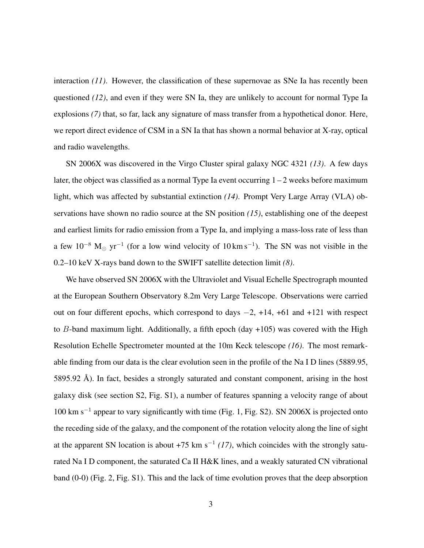interaction *(11)*. However, the classification of these supernovae as SNe Ia has recently been questioned *(12)*, and even if they were SN Ia, they are unlikely to account for normal Type Ia explosions *(7)* that, so far, lack any signature of mass transfer from a hypothetical donor. Here, we report direct evidence of CSM in a SN Ia that has shown a normal behavior at X-ray, optical and radio wavelengths.

SN 2006X was discovered in the Virgo Cluster spiral galaxy NGC 4321 *(13)*. A few days later, the object was classified as a normal Type Ia event occurring  $1 - 2$  weeks before maximum light, which was affected by substantial extinction *(14)*. Prompt Very Large Array (VLA) observations have shown no radio source at the SN position *(15)*, establishing one of the deepest and earliest limits for radio emission from a Type Ia, and implying a mass-loss rate of less than a few 10<sup>-8</sup> M<sub>☉</sub> yr<sup>-1</sup> (for a low wind velocity of 10 km s<sup>-1</sup>). The SN was not visible in the 0.2–10 keV X-rays band down to the SWIFT satellite detection limit *(8)*.

We have observed SN 2006X with the Ultraviolet and Visual Echelle Spectrograph mounted at the European Southern Observatory 8.2m Very Large Telescope. Observations were carried out on four different epochs, which correspond to days −2, +14, +61 and +121 with respect to B-band maximum light. Additionally, a fifth epoch  $\frac{day +105}{xy}$  was covered with the High Resolution Echelle Spectrometer mounted at the 10m Keck telescope *(16)*. The most remarkable finding from our data is the clear evolution seen in the profile of the Na I D lines (5889.95, 5895.92 Å). In fact, besides a strongly saturated and constant component, arising in the host galaxy disk (see section S2, Fig. S1), a number of features spanning a velocity range of about 100 km s<sup>−</sup><sup>1</sup> appear to vary significantly with time (Fig. 1, Fig. S2). SN 2006X is projected onto the receding side of the galaxy, and the component of the rotation velocity along the line of sight at the apparent SN location is about  $+75 \text{ km s}^{-1}$  (17), which coincides with the strongly saturated Na I D component, the saturated Ca II H&K lines, and a weakly saturated CN vibrational band (0-0) (Fig. 2, Fig. S1). This and the lack of time evolution proves that the deep absorption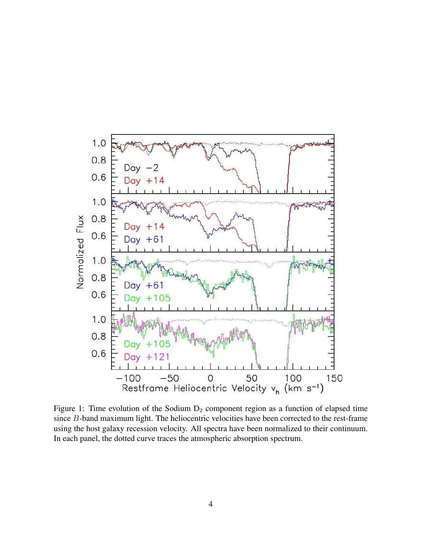

Figure 1: Time evolution of the Sodium  $D_2$  component region as a function of elapsed time since B-band maximum light. The heliocentric velocities have been corrected to the rest-frame using the host galaxy recession velocity. All spectra have been normalized to their continuum. In each panel, the dotted curve traces the atmospheric absorption spectrum.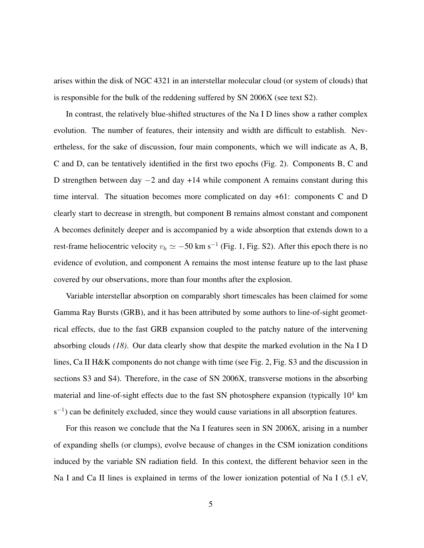arises within the disk of NGC 4321 in an interstellar molecular cloud (or system of clouds) that is responsible for the bulk of the reddening suffered by SN 2006X (see text S2).

In contrast, the relatively blue-shifted structures of the Na I D lines show a rather complex evolution. The number of features, their intensity and width are difficult to establish. Nevertheless, for the sake of discussion, four main components, which we will indicate as A, B, C and D, can be tentatively identified in the first two epochs (Fig. 2). Components B, C and D strengthen between day −2 and day +14 while component A remains constant during this time interval. The situation becomes more complicated on day +61: components C and D clearly start to decrease in strength, but component B remains almost constant and component A becomes definitely deeper and is accompanied by a wide absorption that extends down to a rest-frame heliocentric velocity  $v_h \simeq -50$  km s<sup>-1</sup> (Fig. 1, Fig. S2). After this epoch there is no evidence of evolution, and component A remains the most intense feature up to the last phase covered by our observations, more than four months after the explosion.

Variable interstellar absorption on comparably short timescales has been claimed for some Gamma Ray Bursts (GRB), and it has been attributed by some authors to line-of-sight geometrical effects, due to the fast GRB expansion coupled to the patchy nature of the intervening absorbing clouds *(18)*. Our data clearly show that despite the marked evolution in the Na I D lines, Ca II H&K components do not change with time (see Fig. 2, Fig. S3 and the discussion in sections S3 and S4). Therefore, in the case of SN 2006X, transverse motions in the absorbing material and line-of-sight effects due to the fast SN photosphere expansion (typically  $10^4$  km  $s^{-1}$ ) can be definitely excluded, since they would cause variations in all absorption features.

For this reason we conclude that the Na I features seen in SN 2006X, arising in a number of expanding shells (or clumps), evolve because of changes in the CSM ionization conditions induced by the variable SN radiation field. In this context, the different behavior seen in the Na I and Ca II lines is explained in terms of the lower ionization potential of Na I (5.1 eV,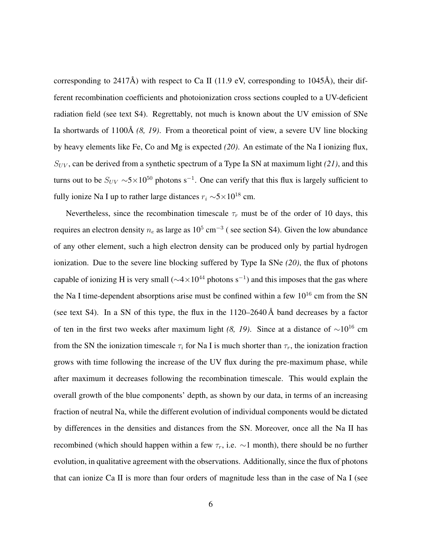corresponding to 2417Å) with respect to Ca II (11.9 eV, corresponding to 1045Å), their different recombination coefficients and photoionization cross sections coupled to a UV-deficient radiation field (see text S4). Regrettably, not much is known about the UV emission of SNe Ia shortwards of 1100Å (8, 19). From a theoretical point of view, a severe UV line blocking by heavy elements like Fe, Co and Mg is expected *(20)*. An estimate of the Na I ionizing flux,  $S_{UV}$ , can be derived from a synthetic spectrum of a Type Ia SN at maximum light (21), and this turns out to be  $S_{UV} \sim 5 \times 10^{50}$  photons s<sup>-1</sup>. One can verify that this flux is largely sufficient to fully ionize Na I up to rather large distances  $r_i \sim 5 \times 10^{18}$  cm.

Nevertheless, since the recombination timescale  $\tau_r$  must be of the order of 10 days, this requires an electron density  $n_e$  as large as  $10^5 \text{ cm}^{-3}$  (see section S4). Given the low abundance of any other element, such a high electron density can be produced only by partial hydrogen ionization. Due to the severe line blocking suffered by Type Ia SNe *(20)*, the flux of photons capable of ionizing H is very small ( $\sim$ 4 $\times$ 10<sup>44</sup> photons s<sup>-1</sup>) and this imposes that the gas where the Na I time-dependent absorptions arise must be confined within a few  $10^{16}$  cm from the SN (see text S4). In a SN of this type, the flux in the  $1120-2640 \text{ Å}$  band decreases by a factor of ten in the first two weeks after maximum light *(8, 19)*. Since at a distance of ∼10<sup>16</sup> cm from the SN the ionization timescale  $\tau_i$  for Na I is much shorter than  $\tau_r$ , the ionization fraction grows with time following the increase of the UV flux during the pre-maximum phase, while after maximum it decreases following the recombination timescale. This would explain the overall growth of the blue components' depth, as shown by our data, in terms of an increasing fraction of neutral Na, while the different evolution of individual components would be dictated by differences in the densities and distances from the SN. Moreover, once all the Na II has recombined (which should happen within a few  $\tau_r$ , i.e.  $\sim$ 1 month), there should be no further evolution, in qualitative agreement with the observations. Additionally, since the flux of photons that can ionize Ca II is more than four orders of magnitude less than in the case of Na I (see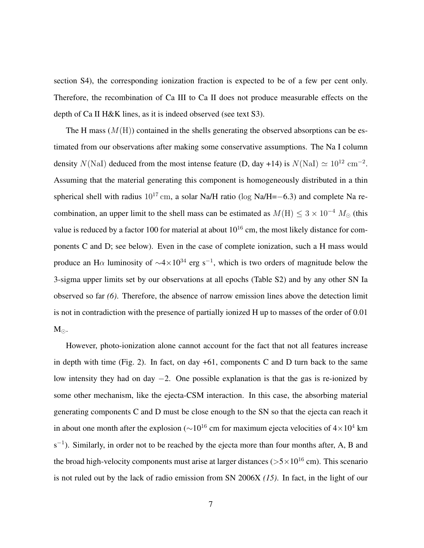section S4), the corresponding ionization fraction is expected to be of a few per cent only. Therefore, the recombination of Ca III to Ca II does not produce measurable effects on the depth of Ca II H&K lines, as it is indeed observed (see text S3).

The H mass  $(M(H))$  contained in the shells generating the observed absorptions can be estimated from our observations after making some conservative assumptions. The Na I column density  $N(NaI)$  deduced from the most intense feature (D, day +14) is  $N(NaI) \simeq 10^{12}$  cm<sup>-2</sup>. Assuming that the material generating this component is homogeneously distributed in a thin spherical shell with radius  $10^{17}$  cm, a solar Na/H ratio (log Na/H=−6.3) and complete Na recombination, an upper limit to the shell mass can be estimated as  $M(H) \leq 3 \times 10^{-4} M_{\odot}$  (this value is reduced by a factor 100 for material at about  $10^{16}$  cm, the most likely distance for components C and D; see below). Even in the case of complete ionization, such a H mass would produce an H $\alpha$  luminosity of  $\sim$ 4×10<sup>34</sup> erg s<sup>-1</sup>, which is two orders of magnitude below the 3-sigma upper limits set by our observations at all epochs (Table S2) and by any other SN Ia observed so far *(6)*. Therefore, the absence of narrow emission lines above the detection limit is not in contradiction with the presence of partially ionized H up to masses of the order of 0.01  $M_{\odot}$ .

However, photo-ionization alone cannot account for the fact that not all features increase in depth with time (Fig. 2). In fact, on day  $+61$ , components C and D turn back to the same low intensity they had on day −2. One possible explanation is that the gas is re-ionized by some other mechanism, like the ejecta-CSM interaction. In this case, the absorbing material generating components C and D must be close enough to the SN so that the ejecta can reach it in about one month after the explosion ( $\sim$ 10<sup>16</sup> cm for maximum ejecta velocities of 4×10<sup>4</sup> km  $s^{-1}$ ). Similarly, in order not to be reached by the ejecta more than four months after, A, B and the broad high-velocity components must arise at larger distances ( $> 5 \times 10^{16}$  cm). This scenario is not ruled out by the lack of radio emission from SN 2006X *(15)*. In fact, in the light of our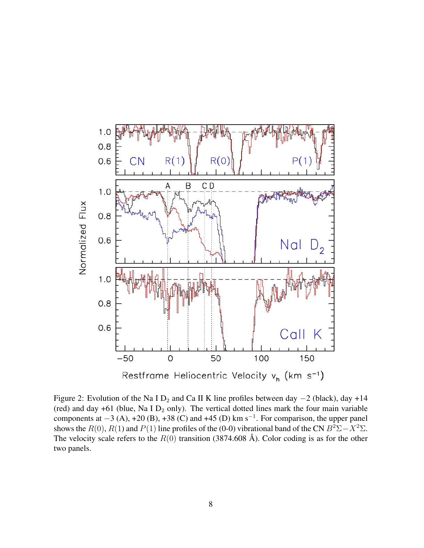

Figure 2: Evolution of the Na I D<sub>2</sub> and Ca II K line profiles between day  $-2$  (black), day +14 (red) and day  $+61$  (blue, Na I  $D_2$  only). The vertical dotted lines mark the four main variable components at  $-3$  (A), +20 (B), +38 (C) and +45 (D) km s<sup>-1</sup>. For comparison, the upper panel shows the  $R(0)$ ,  $R(1)$  and  $P(1)$  line profiles of the (0-0) vibrational band of the CN  $B^2\Sigma - X^2\Sigma$ . The velocity scale refers to the  $R(0)$  transition (3874.608 Å). Color coding is as for the other two panels.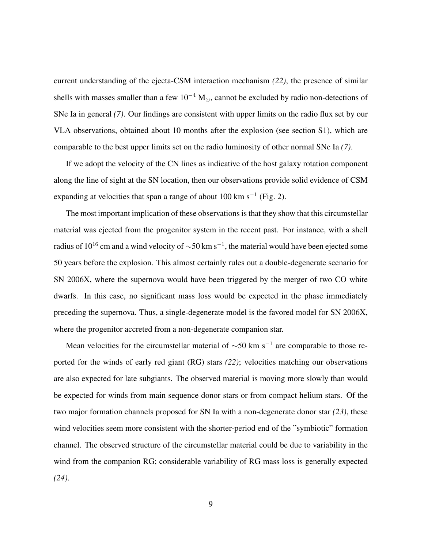current understanding of the ejecta-CSM interaction mechanism *(22)*, the presence of similar shells with masses smaller than a few  $10^{-4}$  M<sub> $\odot$ </sub>, cannot be excluded by radio non-detections of SNe Ia in general *(7)*. Our findings are consistent with upper limits on the radio flux set by our VLA observations, obtained about 10 months after the explosion (see section S1), which are comparable to the best upper limits set on the radio luminosity of other normal SNe Ia *(7)*.

If we adopt the velocity of the CN lines as indicative of the host galaxy rotation component along the line of sight at the SN location, then our observations provide solid evidence of CSM expanding at velocities that span a range of about 100 km s<sup>-1</sup> (Fig. 2).

The most important implication of these observations is that they show that this circumstellar material was ejected from the progenitor system in the recent past. For instance, with a shell radius of  $10^{16}$  cm and a wind velocity of  $\sim$ 50 km s $^{-1}$ , the material would have been ejected some 50 years before the explosion. This almost certainly rules out a double-degenerate scenario for SN 2006X, where the supernova would have been triggered by the merger of two CO white dwarfs. In this case, no significant mass loss would be expected in the phase immediately preceding the supernova. Thus, a single-degenerate model is the favored model for SN 2006X, where the progenitor accreted from a non-degenerate companion star.

Mean velocities for the circumstellar material of  $\sim$ 50 km s<sup>-1</sup> are comparable to those reported for the winds of early red giant (RG) stars *(22)*; velocities matching our observations are also expected for late subgiants. The observed material is moving more slowly than would be expected for winds from main sequence donor stars or from compact helium stars. Of the two major formation channels proposed for SN Ia with a non-degenerate donor star *(23)*, these wind velocities seem more consistent with the shorter-period end of the "symbiotic" formation channel. The observed structure of the circumstellar material could be due to variability in the wind from the companion RG; considerable variability of RG mass loss is generally expected *(24)*.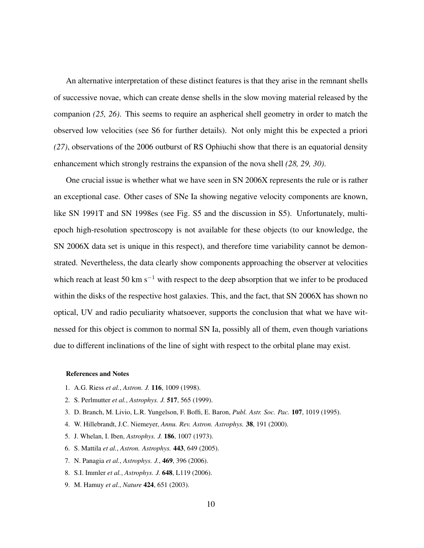An alternative interpretation of these distinct features is that they arise in the remnant shells of successive novae, which can create dense shells in the slow moving material released by the companion *(25, 26)*. This seems to require an aspherical shell geometry in order to match the observed low velocities (see S6 for further details). Not only might this be expected a priori *(27)*, observations of the 2006 outburst of RS Ophiuchi show that there is an equatorial density enhancement which strongly restrains the expansion of the nova shell *(28, 29, 30)*.

One crucial issue is whether what we have seen in SN 2006X represents the rule or is rather an exceptional case. Other cases of SNe Ia showing negative velocity components are known, like SN 1991T and SN 1998es (see Fig. S5 and the discussion in S5). Unfortunately, multiepoch high-resolution spectroscopy is not available for these objects (to our knowledge, the SN 2006X data set is unique in this respect), and therefore time variability cannot be demonstrated. Nevertheless, the data clearly show components approaching the observer at velocities which reach at least 50 km s<sup> $-1$ </sup> with respect to the deep absorption that we infer to be produced within the disks of the respective host galaxies. This, and the fact, that SN 2006X has shown no optical, UV and radio peculiarity whatsoever, supports the conclusion that what we have witnessed for this object is common to normal SN Ia, possibly all of them, even though variations due to different inclinations of the line of sight with respect to the orbital plane may exist.

#### References and Notes

- 1. A.G. Riess *et al.*, *Astron. J.* 116, 1009 (1998).
- 2. S. Perlmutter *et al.*, *Astrophys. J.* 517, 565 (1999).
- 3. D. Branch, M. Livio, L.R. Yungelson, F. Boffi, E. Baron, *Publ. Astr. Soc. Pac.* 107, 1019 (1995).
- 4. W. Hillebrandt, J.C. Niemeyer, *Annu. Rev. Astron. Astrophys.* 38, 191 (2000).
- 5. J. Whelan, I. Iben, *Astrophys. J.* 186, 1007 (1973).
- 6. S. Mattila *et al.*, *Astron. Astrophys.* 443, 649 (2005).
- 7. N. Panagia *et al.*, *Astrophys. J.*, 469, 396 (2006).
- 8. S.I. Immler *et al.*, *Astrophys. J.* 648, L119 (2006).
- 9. M. Hamuy *et al.*, *Nature* 424, 651 (2003).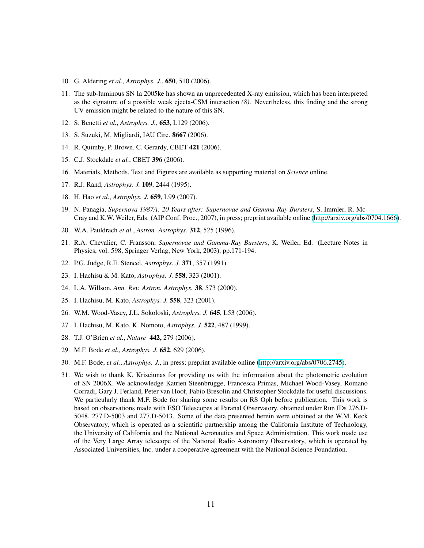- 10. G. Aldering *et al.*, *Astrophys. J.*, 650, 510 (2006).
- 11. The sub-luminous SN Ia 2005ke has shown an unprecedented X-ray emission, which has been interpreted as the signature of a possible weak ejecta-CSM interaction *(8)*. Nevertheless, this finding and the strong UV emission might be related to the nature of this SN.
- 12. S. Benetti *et al.*, *Astrophys. J.*, 653, L129 (2006).
- 13. S. Suzuki, M. Migliardi, IAU Circ. 8667 (2006).
- 14. R. Quimby, P. Brown, C. Gerardy, CBET 421 (2006).
- 15. C.J. Stockdale *et al.*, CBET 396 (2006).
- 16. Materials, Methods, Text and Figures are available as supporting material on *Science* online.
- 17. R.J. Rand, *Astrophys. J.* 109, 2444 (1995).
- 18. H. Hao *et al.*, *Astrophys. J.* 659, L99 (2007).
- 19. N. Panagia, *Supernova 1987A: 20 Years after: Supernovae and Gamma-Ray Bursters*, S. Immler, R. Mc-Cray and K.W. Weiler, Eds. (AIP Conf. Proc., 2007), in press; preprint available online [\(http://arxiv.org/abs/0704.1666\)](http://arxiv.org/abs/0704.1666).
- 20. W.A. Pauldrach *et al.*, *Astron. Astrophys.* 312, 525 (1996).
- 21. R.A. Chevalier, C. Fransson, *Supernovae and Gamma-Ray Bursters*, K. Weiler, Ed. (Lecture Notes in Physics, vol. 598, Springer Verlag, New York, 2003), pp.171-194.
- 22. P.G. Judge, R.E. Stencel, *Astrophys. J.* 371, 357 (1991).
- 23. I. Hachisu & M. Kato, *Astrophys. J.* 558, 323 (2001).
- 24. L.A. Willson, *Ann. Rev. Astron. Astrophys.* 38, 573 (2000).
- 25. I. Hachisu, M. Kato, *Astrophys. J.* 558, 323 (2001).
- 26. W.M. Wood-Vasey, J.L. Sokoloski, *Astrophys. J.* 645, L53 (2006).
- 27. I. Hachisu, M. Kato, K. Nomoto, *Astrophys. J.* 522, 487 (1999).
- 28. T.J. O'Brien *et al.*, *Nature* 442, 279 (2006).
- 29. M.F. Bode *et al.*, *Astrophys. J.* 652, 629 (2006).
- 30. M.F. Bode, *et al.*, *Astrophys. J.*, in press; preprint available online [\(http://arxiv.org/abs/0706.2745\)](http://arxiv.org/abs/0706.2745).
- 31. We wish to thank K. Krisciunas for providing us with the information about the photometric evolution of SN 2006X. We acknowledge Katrien Steenbrugge, Francesca Primas, Michael Wood-Vasey, Romano Corradi, Gary J. Ferland, Peter van Hoof, Fabio Bresolin and Christopher Stockdale for useful discussions. We particularly thank M.F. Bode for sharing some results on RS Oph before publication. This work is based on observations made with ESO Telescopes at Paranal Observatory, obtained under Run IDs 276.D-5048, 277.D-5003 and 277.D-5013. Some of the data presented herein were obtained at the W.M. Keck Observatory, which is operated as a scientific partnership among the California Institute of Technology, the University of California and the National Aeronautics and Space Administration. This work made use of the Very Large Array telescope of the National Radio Astronomy Observatory, which is operated by Associated Universities, Inc. under a cooperative agreement with the National Science Foundation.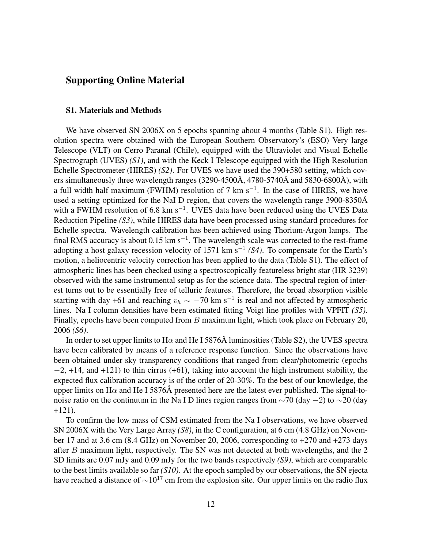## Supporting Online Material

## S1. Materials and Methods

We have observed SN 2006X on 5 epochs spanning about 4 months (Table S1). High resolution spectra were obtained with the European Southern Observatory's (ESO) Very large Telescope (VLT) on Cerro Paranal (Chile), equipped with the Ultraviolet and Visual Echelle Spectrograph (UVES) *(S1)*, and with the Keck I Telescope equipped with the High Resolution Echelle Spectrometer (HIRES) *(S2)*. For UVES we have used the 390+580 setting, which covers simultaneously three wavelength ranges  $(3290-4500\text{\AA}, 4780-5740\text{\AA})$  and  $5830-6800\text{\AA})$ , with a full width half maximum (FWHM) resolution of 7 km s<sup>-1</sup>. In the case of HIRES, we have used a setting optimized for the NaI D region, that covers the wavelength range 3900-8350Å with a FWHM resolution of 6.8 km s<sup>-1</sup>. UVES data have been reduced using the UVES Data Reduction Pipeline *(S3)*, while HIRES data have been processed using standard procedures for Echelle spectra. Wavelength calibration has been achieved using Thorium-Argon lamps. The final RMS accuracy is about 0.15 km s<sup>-1</sup>. The wavelength scale was corrected to the rest-frame adopting a host galaxy recession velocity of 1571 km s<sup>−</sup><sup>1</sup> *(S4)*. To compensate for the Earth's motion, a heliocentric velocity correction has been applied to the data (Table S1). The effect of atmospheric lines has been checked using a spectroscopically featureless bright star (HR 3239) observed with the same instrumental setup as for the science data. The spectral region of interest turns out to be essentially free of telluric features. Therefore, the broad absorption visible starting with day +61 and reaching  $v_h \sim -70$  km s<sup>-1</sup> is real and not affected by atmospheric lines. Na I column densities have been estimated fitting Voigt line profiles with VPFIT *(S5)*. Finally, epochs have been computed from  $B$  maximum light, which took place on February 20, 2006 *(S6)*.

In order to set upper limits to H $\alpha$  and He I 5876Å luminosities (Table S2), the UVES spectra have been calibrated by means of a reference response function. Since the observations have been obtained under sky transparency conditions that ranged from clear/photometric (epochs  $-2$ , +14, and +121) to thin cirrus (+61), taking into account the high instrument stability, the expected flux calibration accuracy is of the order of 20-30%. To the best of our knowledge, the upper limits on H $\alpha$  and He I 5876Å presented here are the latest ever published. The signal-tonoise ratio on the continuum in the Na I D lines region ranges from  $\sim$ 70 (day  $-2$ ) to  $\sim$ 20 (day +121).

To confirm the low mass of CSM estimated from the Na I observations, we have observed SN 2006X with the Very Large Array *(S8)*, in the C configuration, at 6 cm (4.8 GHz) on November 17 and at 3.6 cm (8.4 GHz) on November 20, 2006, corresponding to +270 and +273 days after B maximum light, respectively. The SN was not detected at both wavelengths, and the 2 SD limits are 0.07 mJy and 0.09 mJy for the two bands respectively *(S9)*, which are comparable to the best limits available so far *(S10)*. At the epoch sampled by our observations, the SN ejecta have reached a distance of  $\sim 10^{17}$  cm from the explosion site. Our upper limits on the radio flux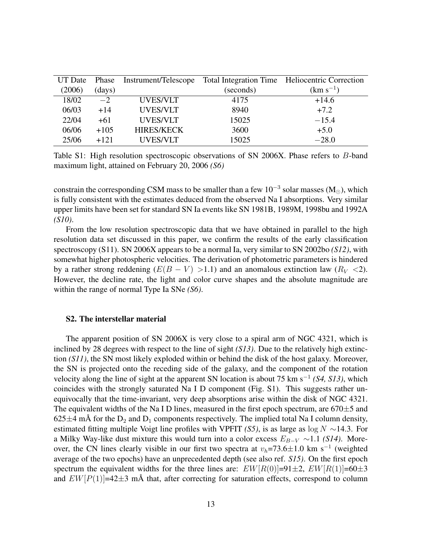| UT Date | Phase  |                   |           | Instrument/Telescope Total Integration Time Heliocentric Correction |
|---------|--------|-------------------|-----------|---------------------------------------------------------------------|
| (2006)  | (days) |                   | (seconds) | $(km s^{-1})$                                                       |
| 18/02   | $-2$   | UVES/VLT          | 4175      | $+14.6$                                                             |
| 06/03   | $+14$  | <b>UVES/VLT</b>   | 8940      | $+7.2$                                                              |
| 22/04   | $+61$  | <b>UVES/VLT</b>   | 15025     | $-15.4$                                                             |
| 06/06   | $+105$ | <b>HIRES/KECK</b> | 3600      | $+5.0$                                                              |
| 25/06   | $+121$ | <b>UVES/VLT</b>   | 15025     | $-28.0$                                                             |

Table S1: High resolution spectroscopic observations of SN 2006X. Phase refers to B-band maximum light, attained on February 20, 2006 *(S6)*

constrain the corresponding CSM mass to be smaller than a few  $10^{-3}$  solar masses (M<sub>☉</sub>), which is fully consistent with the estimates deduced from the observed Na I absorptions. Very similar upper limits have been set for standard SN Ia events like SN 1981B, 1989M, 1998bu and 1992A *(S10)*.

From the low resolution spectroscopic data that we have obtained in parallel to the high resolution data set discussed in this paper, we confirm the results of the early classification spectroscopy (S11). SN 2006X appears to be a normal Ia, very similar to SN 2002bo *(S12)*, with somewhat higher photospheric velocities. The derivation of photometric parameters is hindered by a rather strong reddening  $(E(B - V) > 1.1)$  and an anomalous extinction law  $(R_V < 2)$ . However, the decline rate, the light and color curve shapes and the absolute magnitude are within the range of normal Type Ia SNe *(S6)*.

## S2. The interstellar material

The apparent position of SN 2006X is very close to a spiral arm of NGC 4321, which is inclined by 28 degrees with respect to the line of sight *(S13)*. Due to the relatively high extinction *(S11)*, the SN most likely exploded within or behind the disk of the host galaxy. Moreover, the SN is projected onto the receding side of the galaxy, and the component of the rotation velocity along the line of sight at the apparent SN location is about 75 km s<sup>−</sup><sup>1</sup> *(S4, S13)*, which coincides with the strongly saturated Na I D component (Fig. S1). This suggests rather unequivocally that the time-invariant, very deep absorptions arise within the disk of NGC 4321. The equivalent widths of the Na I D lines, measured in the first epoch spectrum, are  $670\pm5$  and 625 $\pm$ 4 mÅ for the D<sub>2</sub> and D<sub>1</sub> components respectively. The implied total Na I column density, estimated fitting multiple Voigt line profiles with VPFIT *(S5)*, is as large as log N ∼14.3. For a Milky Way-like dust mixture this would turn into a color excess  $E_{B-V} \sim 1.1$  *(S14)*. Moreover, the CN lines clearly visible in our first two spectra at  $v_h$ =73.6 $\pm$ 1.0 km s<sup>-1</sup> (weighted average of the two epochs) have an unprecedented depth (see also ref. *S15)*. On the first epoch spectrum the equivalent widths for the three lines are:  $EW[R(0)]=91\pm2, EW[R(1)]=60\pm3$ and  $EW[P(1)]=42\pm3$  mÅ that, after correcting for saturation effects, correspond to column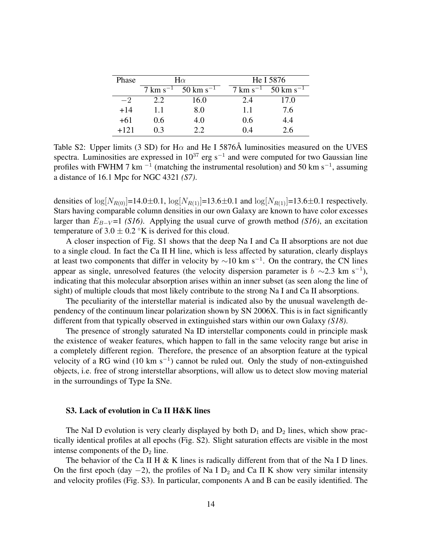| Phase  | $H\alpha$         |                        |  | He I 5876             |                        |  |
|--------|-------------------|------------------------|--|-----------------------|------------------------|--|
|        | $7 \rm km s^{-1}$ | $50 \text{ km s}^{-1}$ |  | $7 \text{ km s}^{-1}$ | $50 \text{ km s}^{-1}$ |  |
| $-2$   | 2.2               | 16.0                   |  | 2.4                   | 17.0                   |  |
| $+14$  | 1.1               | 8.0                    |  | 1.1                   | 7.6                    |  |
| $+61$  | 0.6               | 4.0                    |  | 0.6                   | 4.4                    |  |
| $+121$ | በ 3               | 2.2                    |  | 0.4                   | 2.6                    |  |

Table S2: Upper limits (3 SD) for H $\alpha$  and He I 5876Å luminosities measured on the UVES spectra. Luminosities are expressed in  $10^{37}$  erg s<sup>-1</sup> and were computed for two Gaussian line profiles with FWHM 7 km<sup> $-1$ </sup> (matching the instrumental resolution) and 50 km s<sup>-1</sup>, assuming a distance of 16.1 Mpc for NGC 4321 *(S7)*.

densities of  $log[N_{R(0)}]=14.0\pm0.1$ ,  $log[N_{R(1)}]=13.6\pm0.1$  and  $log[N_{R(1)}]=13.6\pm0.1$  respectively. Stars having comparable column densities in our own Galaxy are known to have color excesses larger than  $E_{B-V}$ =1 *(S16)*. Applying the usual curve of growth method *(S16)*, an excitation temperature of  $3.0 \pm 0.2$  °K is derived for this cloud.

A closer inspection of Fig. S1 shows that the deep Na I and Ca II absorptions are not due to a single cloud. In fact the Ca II H line, which is less affected by saturation, clearly displays at least two components that differ in velocity by  $\sim$ 10 km s<sup>-1</sup>. On the contrary, the CN lines appear as single, unresolved features (the velocity dispersion parameter is  $b \sim 2.3$  km s<sup>-1</sup>), indicating that this molecular absorption arises within an inner subset (as seen along the line of sight) of multiple clouds that most likely contribute to the strong Na I and Ca II absorptions.

The peculiarity of the interstellar material is indicated also by the unusual wavelength dependency of the continuum linear polarization shown by SN 2006X. This is in fact significantly different from that typically observed in extinguished stars within our own Galaxy *(S18)*.

The presence of strongly saturated Na ID interstellar components could in principle mask the existence of weaker features, which happen to fall in the same velocity range but arise in a completely different region. Therefore, the presence of an absorption feature at the typical velocity of a RG wind (10 km s<sup>-1</sup>) cannot be ruled out. Only the study of non-extinguished objects, i.e. free of strong interstellar absorptions, will allow us to detect slow moving material in the surroundings of Type Ia SNe.

## S3. Lack of evolution in Ca II H&K lines

The NaI D evolution is very clearly displayed by both  $D_1$  and  $D_2$  lines, which show practically identical profiles at all epochs (Fig. S2). Slight saturation effects are visible in the most intense components of the  $D_2$  line.

The behavior of the Ca II H & K lines is radically different from that of the Na I D lines. On the first epoch (day  $-2$ ), the profiles of Na I D<sub>2</sub> and Ca II K show very similar intensity and velocity profiles (Fig. S3). In particular, components A and B can be easily identified. The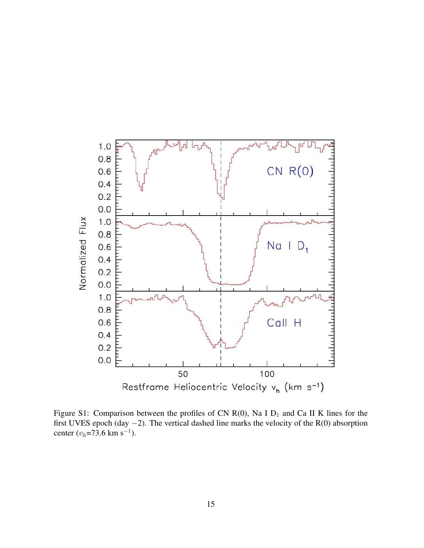

Figure S1: Comparison between the profiles of CN R(0), Na I  $D_1$  and Ca II K lines for the first UVES epoch (day −2). The vertical dashed line marks the velocity of the R(0) absorption center  $(v_h=73.6 \text{ km s}^{-1})$ .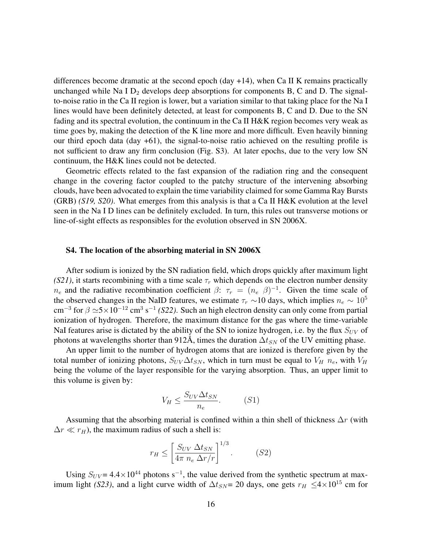differences become dramatic at the second epoch (day  $+14$ ), when Ca II K remains practically unchanged while Na I  $D_2$  develops deep absorptions for components B, C and D. The signalto-noise ratio in the Ca II region is lower, but a variation similar to that taking place for the Na I lines would have been definitely detected, at least for components B, C and D. Due to the SN fading and its spectral evolution, the continuum in the Ca II H&K region becomes very weak as time goes by, making the detection of the K line more and more difficult. Even heavily binning our third epoch data  $(\text{day } +61)$ , the signal-to-noise ratio achieved on the resulting profile is not sufficient to draw any firm conclusion (Fig. S3). At later epochs, due to the very low SN continuum, the H&K lines could not be detected.

Geometric effects related to the fast expansion of the radiation ring and the consequent change in the covering factor coupled to the patchy structure of the intervening absorbing clouds, have been advocated to explain the time variability claimed for some Gamma Ray Bursts (GRB) *(S19, S20)*. What emerges from this analysis is that a Ca II H&K evolution at the level seen in the Na I D lines can be definitely excluded. In turn, this rules out transverse motions or line-of-sight effects as responsibles for the evolution observed in SN 2006X.

#### S4. The location of the absorbing material in SN 2006X

After sodium is ionized by the SN radiation field, which drops quickly after maximum light *(S21)*, it starts recombining with a time scale  $\tau_r$  which depends on the electron number density  $n_e$  and the radiative recombination coefficient  $\beta$ :  $\tau_r = (n_e \beta)^{-1}$ . Given the time scale of the observed changes in the NaID features, we estimate  $\tau_r \sim 10$  days, which implies  $n_e \sim 10^5$ cm<sup>-3</sup> for  $\beta \simeq 5 \times 10^{-12}$  cm<sup>3</sup> s<sup>-1</sup> (S22). Such an high electron density can only come from partial ionization of hydrogen. Therefore, the maximum distance for the gas where the time-variable NaI features arise is dictated by the ability of the SN to ionize hydrogen, i.e. by the flux  $S_{UV}$  of photons at wavelengths shorter than 912Å, times the duration  $\Delta t_{SN}$  of the UV emitting phase.

An upper limit to the number of hydrogen atoms that are ionized is therefore given by the total number of ionizing photons,  $S_{UV}\Delta t_{SN}$ , which in turn must be equal to  $V_H$   $n_e$ , with  $V_H$ being the volume of the layer responsible for the varying absorption. Thus, an upper limit to this volume is given by:

$$
V_H \le \frac{S_{UV}\Delta t_{SN}}{n_e}.\tag{S1}
$$

Assuming that the absorbing material is confined within a thin shell of thickness  $\Delta r$  (with  $\Delta r \ll r_H$ ), the maximum radius of such a shell is:

$$
r_H \le \left[ \frac{S_{UV} \Delta t_{SN}}{4\pi n_e \Delta r/r} \right]^{1/3}.
$$
 (S2)

Using  $S_{UV}$  = 4.4 × 10<sup>44</sup> photons s<sup>-1</sup>, the value derived from the synthetic spectrum at maximum light *(S23)*, and a light curve width of  $\Delta t_{SN} = 20$  days, one gets  $r_H \leq 4 \times 10^{15}$  cm for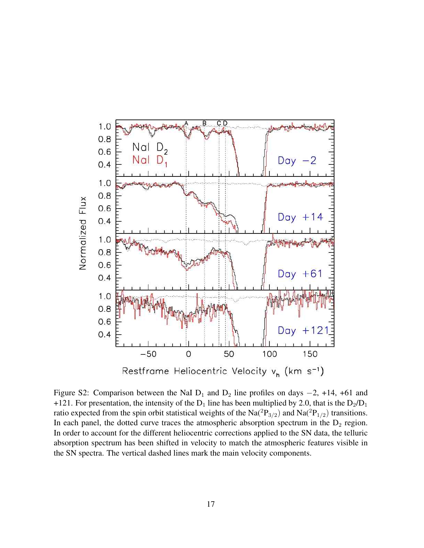

Figure S2: Comparison between the NaI  $D_1$  and  $D_2$  line profiles on days  $-2$ , +14, +61 and +121. For presentation, the intensity of the  $D_1$  line has been multiplied by 2.0, that is the  $D_2/D_1$ ratio expected from the spin orbit statistical weights of the Na( ${}^{2}P_{3/2}$ ) and Na( ${}^{2}P_{1/2}$ ) transitions. In each panel, the dotted curve traces the atmospheric absorption spectrum in the  $D_2$  region. In order to account for the different heliocentric corrections applied to the SN data, the telluric absorption spectrum has been shifted in velocity to match the atmospheric features visible in the SN spectra. The vertical dashed lines mark the main velocity components.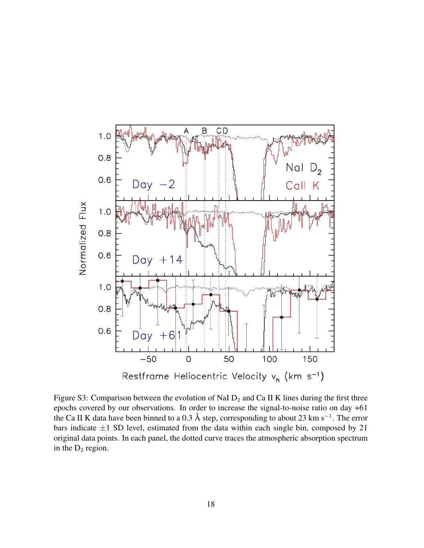

Figure S3: Comparison between the evolution of NaI  $D_2$  and Ca II K lines during the first three epochs covered by our observations. In order to increase the signal-to-noise ratio on day +61 the Ca II K data have been binned to a 0.3 Å step, corresponding to about 23 km s<sup>-1</sup>. The error bars indicate  $\pm 1$  SD level, estimated from the data within each single bin, composed by 21 original data points. In each panel, the dotted curve traces the atmospheric absorption spectrum in the  $D_2$  region.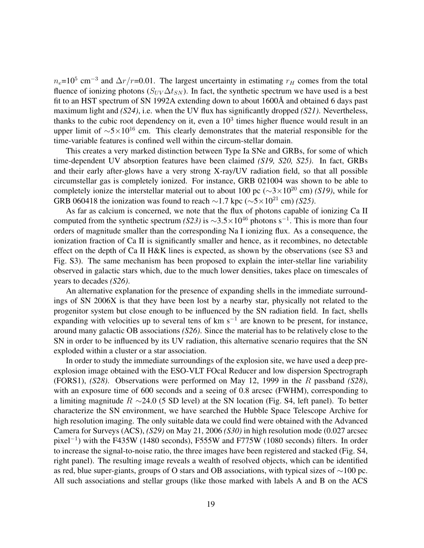$n_e$ =10<sup>5</sup> cm<sup>-3</sup> and  $\Delta r/r$ =0.01. The largest uncertainty in estimating  $r_H$  comes from the total fluence of ionizing photons ( $S_{UV}\Delta t_{SN}$ ). In fact, the synthetic spectrum we have used is a best fit to an HST spectrum of SN 1992A extending down to about 1600Å and obtained 6 days past maximum light and *(S24)*, i.e. when the UV flux has significantly dropped *(S21)*. Nevertheless, thanks to the cubic root dependency on it, even a  $10<sup>3</sup>$  times higher fluence would result in an upper limit of  $\sim$ 5×10<sup>16</sup> cm. This clearly demonstrates that the material responsible for the time-variable features is confined well within the circum-stellar domain.

This creates a very marked distinction between Type Ia SNe and GRBs, for some of which time-dependent UV absorption features have been claimed *(S19, S20, S25)*. In fact, GRBs and their early after-glows have a very strong X-ray/UV radiation field, so that all possible circumstellar gas is completely ionized. For instance, GRB 021004 was shown to be able to completely ionize the interstellar material out to about 100 pc (∼3×10<sup>20</sup> cm) *(S19)*, while for GRB 060418 the ionization was found to reach ~1.7 kpc ( $\sim$ 5×10<sup>21</sup> cm) *(S25)*.

As far as calcium is concerned, we note that the flux of photons capable of ionizing Ca II computed from the synthetic spectrum *(S23)* is  $\sim$ 3.5 $\times$ 10<sup>46</sup> photons s<sup>-1</sup>. This is more than four orders of magnitude smaller than the corresponding Na I ionizing flux. As a consequence, the ionization fraction of Ca II is significantly smaller and hence, as it recombines, no detectable effect on the depth of Ca II H&K lines is expected, as shown by the observations (see S3 and Fig. S3). The same mechanism has been proposed to explain the inter-stellar line variability observed in galactic stars which, due to the much lower densities, takes place on timescales of years to decades *(S26)*.

An alternative explanation for the presence of expanding shells in the immediate surroundings of SN 2006X is that they have been lost by a nearby star, physically not related to the progenitor system but close enough to be influenced by the SN radiation field. In fact, shells expanding with velocities up to several tens of  $km s^{-1}$  are known to be present, for instance, around many galactic OB associations *(S26)*. Since the material has to be relatively close to the SN in order to be influenced by its UV radiation, this alternative scenario requires that the SN exploded within a cluster or a star association.

In order to study the immediate surroundings of the explosion site, we have used a deep preexplosion image obtained with the ESO-VLT FOcal Reducer and low dispersion Spectrograph (FORS1), *(S28)*. Observations were performed on May 12, 1999 in the R passband *(S28)*, with an exposure time of 600 seconds and a seeing of 0.8 arcsec (FWHM), corresponding to a limiting magnitude R  $\sim$ 24.0 (5 SD level) at the SN location (Fig. S4, left panel). To better characterize the SN environment, we have searched the Hubble Space Telescope Archive for high resolution imaging. The only suitable data we could find were obtained with the Advanced Camera for Surveys (ACS), *(S29)* on May 21, 2006 *(S30)* in high resolution mode (0.027 arcsec pixel<sup>−</sup><sup>1</sup> ) with the F435W (1480 seconds), F555W and F775W (1080 seconds) filters. In order to increase the signal-to-noise ratio, the three images have been registered and stacked (Fig. S4, right panel). The resulting image reveals a wealth of resolved objects, which can be identified as red, blue super-giants, groups of O stars and OB associations, with typical sizes of ∼100 pc. All such associations and stellar groups (like those marked with labels A and B on the ACS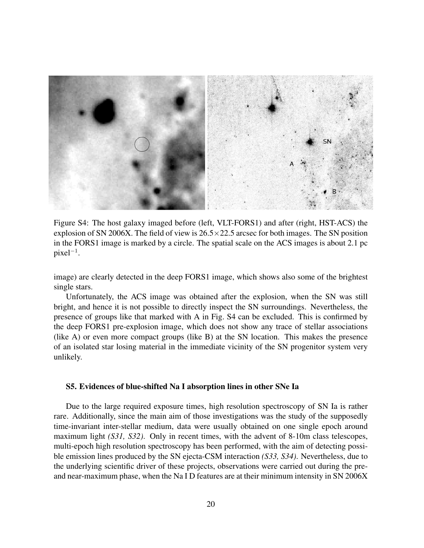

Figure S4: The host galaxy imaged before (left, VLT-FORS1) and after (right, HST-ACS) the explosion of SN 2006X. The field of view is  $26.5 \times 22.5$  arcsec for both images. The SN position in the FORS1 image is marked by a circle. The spatial scale on the ACS images is about 2.1 pc pixel<sup>−</sup><sup>1</sup> .

image) are clearly detected in the deep FORS1 image, which shows also some of the brightest single stars.

Unfortunately, the ACS image was obtained after the explosion, when the SN was still bright, and hence it is not possible to directly inspect the SN surroundings. Nevertheless, the presence of groups like that marked with A in Fig. S4 can be excluded. This is confirmed by the deep FORS1 pre-explosion image, which does not show any trace of stellar associations (like A) or even more compact groups (like B) at the SN location. This makes the presence of an isolated star losing material in the immediate vicinity of the SN progenitor system very unlikely.

### S5. Evidences of blue-shifted Na I absorption lines in other SNe Ia

Due to the large required exposure times, high resolution spectroscopy of SN Ia is rather rare. Additionally, since the main aim of those investigations was the study of the supposedly time-invariant inter-stellar medium, data were usually obtained on one single epoch around maximum light *(S31, S32)*. Only in recent times, with the advent of 8-10m class telescopes, multi-epoch high resolution spectroscopy has been performed, with the aim of detecting possible emission lines produced by the SN ejecta-CSM interaction *(S33, S34)*. Nevertheless, due to the underlying scientific driver of these projects, observations were carried out during the preand near-maximum phase, when the Na I D features are at their minimum intensity in SN 2006X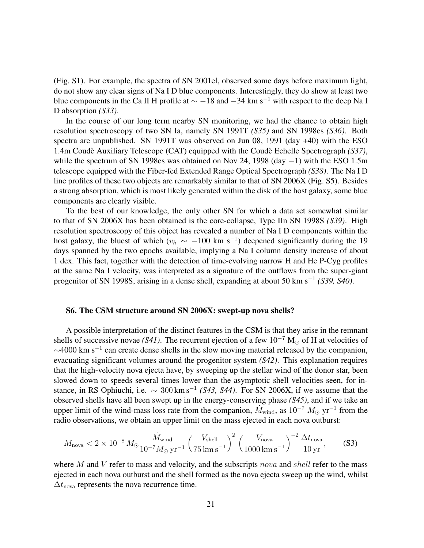(Fig. S1). For example, the spectra of SN 2001el, observed some days before maximum light, do not show any clear signs of Na I D blue components. Interestingly, they do show at least two blue components in the Ca II H profile at  $\sim$  −18 and −34 km s<sup>-1</sup> with respect to the deep Na I D absorption *(S33)*.

In the course of our long term nearby SN monitoring, we had the chance to obtain high resolution spectroscopy of two SN Ia, namely SN 1991T *(S35)* and SN 1998es *(S36)*. Both spectra are unpublished. SN 1991T was observed on Jun 08, 1991 (day +40) with the ESO 1.4m Coude Auxiliary Telescope (CAT) equipped with the Coude Echelle Spectrograph (S37), while the spectrum of SN 1998es was obtained on Nov 24, 1998 (day  $-1$ ) with the ESO 1.5m telescope equipped with the Fiber-fed Extended Range Optical Spectrograph *(S38)*. The Na I D line profiles of these two objects are remarkably similar to that of SN 2006X (Fig. S5). Besides a strong absorption, which is most likely generated within the disk of the host galaxy, some blue components are clearly visible.

To the best of our knowledge, the only other SN for which a data set somewhat similar to that of SN 2006X has been obtained is the core-collapse, Type IIn SN 1998S *(S39)*. High resolution spectroscopy of this object has revealed a number of Na I D components within the host galaxy, the bluest of which ( $v_h \sim -100$  km s<sup>-1</sup>) deepened significantly during the 19 days spanned by the two epochs available, implying a Na I column density increase of about 1 dex. This fact, together with the detection of time-evolving narrow H and He P-Cyg profiles at the same Na I velocity, was interpreted as a signature of the outflows from the super-giant progenitor of SN 1998S, arising in a dense shell, expanding at about 50 km s<sup>−</sup><sup>1</sup> *(S39, S40)*.

#### S6. The CSM structure around SN 2006X: swept-up nova shells?

A possible interpretation of the distinct features in the CSM is that they arise in the remnant shells of successive novae *(S41)*. The recurrent ejection of a few  $10^{-7}$  M<sub>o</sub> of H at velocities of  $\sim$ 4000 km s<sup>-1</sup> can create dense shells in the slow moving material released by the companion, evacuating significant volumes around the progenitor system *(S42)*. This explanation requires that the high-velocity nova ejecta have, by sweeping up the stellar wind of the donor star, been slowed down to speeds several times lower than the asymptotic shell velocities seen, for instance, in RS Ophiuchi, i.e.  $\sim 300 \,\mathrm{km \, s^{-1}}$  (S43, S44). For SN 2006X, if we assume that the observed shells have all been swept up in the energy-conserving phase *(S45)*, and if we take an upper limit of the wind-mass loss rate from the companion,  $\hat{M}_{wind}$ , as  $10^{-7} M_{\odot}$  yr<sup>-1</sup> from the radio observations, we obtain an upper limit on the mass ejected in each nova outburst:

$$
M_{\text{nova}} < 2 \times 10^{-8} \, M_{\odot} \frac{\dot{M}_{\text{wind}}}{10^{-7} M_{\odot} \, \text{yr}^{-1}} \left(\frac{V_{\text{shell}}}{75 \, \text{km s}^{-1}}\right)^2 \left(\frac{V_{\text{nova}}}{1000 \, \text{km s}^{-1}}\right)^{-2} \frac{\Delta t_{\text{nova}}}{10 \, \text{yr}},\tag{S3}
$$

where M and V refer to mass and velocity, and the subscripts nova and shell refer to the mass ejected in each nova outburst and the shell formed as the nova ejecta sweep up the wind, whilst  $\Delta t_{\text{nova}}$  represents the nova recurrence time.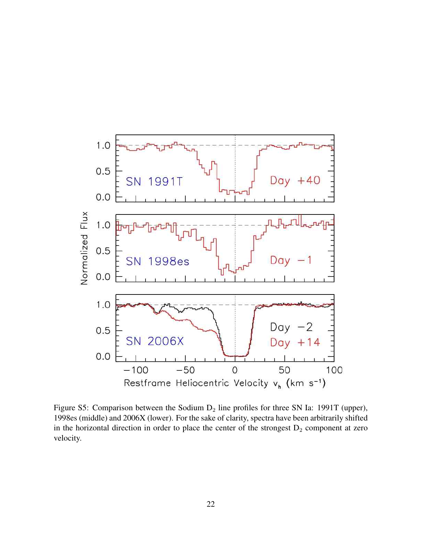

Figure S5: Comparison between the Sodium  $D_2$  line profiles for three SN Ia: 1991T (upper), 1998es (middle) and 2006X (lower). For the sake of clarity, spectra have been arbitrarily shifted in the horizontal direction in order to place the center of the strongest  $D_2$  component at zero velocity.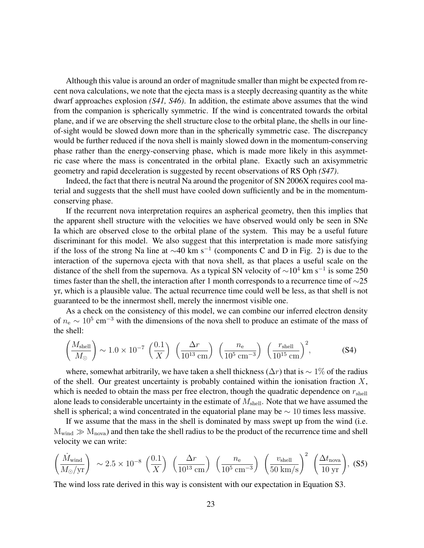Although this value is around an order of magnitude smaller than might be expected from recent nova calculations, we note that the ejecta mass is a steeply decreasing quantity as the white dwarf approaches explosion *(S41, S46)*. In addition, the estimate above assumes that the wind from the companion is spherically symmetric. If the wind is concentrated towards the orbital plane, and if we are observing the shell structure close to the orbital plane, the shells in our lineof-sight would be slowed down more than in the spherically symmetric case. The discrepancy would be further reduced if the nova shell is mainly slowed down in the momentum-conserving phase rather than the energy-conserving phase, which is made more likely in this asymmetric case where the mass is concentrated in the orbital plane. Exactly such an axisymmetric geometry and rapid deceleration is suggested by recent observations of RS Oph *(S47)*.

Indeed, the fact that there is neutral Na around the progenitor of SN 2006X requires cool material and suggests that the shell must have cooled down sufficiently and be in the momentumconserving phase.

If the recurrent nova interpretation requires an aspherical geometry, then this implies that the apparent shell structure with the velocities we have observed would only be seen in SNe Ia which are observed close to the orbital plane of the system. This may be a useful future discriminant for this model. We also suggest that this interpretation is made more satisfying if the loss of the strong Na line at  $\sim$ 40 km s<sup>-1</sup> (components C and D in Fig. 2) is due to the interaction of the supernova ejecta with that nova shell, as that places a useful scale on the distance of the shell from the supernova. As a typical SN velocity of  $\sim 10^4$  km s<sup>-1</sup> is some 250 times faster than the shell, the interaction after 1 month corresponds to a recurrence time of  $\sim$ 25 yr, which is a plausible value. The actual recurrence time could well be less, as that shell is not guaranteed to be the innermost shell, merely the innermost visible one.

As a check on the consistency of this model, we can combine our inferred electron density of  $n_e \sim 10^5$  cm<sup>-3</sup> with the dimensions of the nova shell to produce an estimate of the mass of the shell:

$$
\left(\frac{M_{\text{shell}}}{M_{\odot}}\right) \sim 1.0 \times 10^{-7} \left(\frac{0.1}{X}\right) \left(\frac{\Delta r}{10^{13} \text{ cm}}\right) \left(\frac{n_{\text{e}}}{10^5 \text{ cm}^{-3}}\right) \left(\frac{r_{\text{shell}}}{10^{15} \text{ cm}}\right)^2, \tag{S4}
$$

where, somewhat arbitrarily, we have taken a shell thickness ( $\Delta r$ ) that is ~ 1% of the radius of the shell. Our greatest uncertainty is probably contained within the ionisation fraction  $X$ , which is needed to obtain the mass per free electron, though the quadratic dependence on  $r_{\text{shell}}$ alone leads to considerable uncertainty in the estimate of  $M_{shell}$ . Note that we have assumed the shell is spherical; a wind concentrated in the equatorial plane may be  $\sim 10$  times less massive.

If we assume that the mass in the shell is dominated by mass swept up from the wind (i.e.  $M_{wind} \gg M_{nova}$ ) and then take the shell radius to be the product of the recurrence time and shell velocity we can write:

$$
\left(\frac{\dot{M}_{\text{wind}}}{M_{\odot}/\text{yr}}\right) \sim 2.5 \times 10^{-8} \left(\frac{0.1}{X}\right) \left(\frac{\Delta r}{10^{13} \text{ cm}}\right) \left(\frac{n_{\text{e}}}{10^5 \text{ cm}^{-3}}\right) \left(\frac{v_{\text{shell}}}{50 \text{ km/s}}\right)^2 \left(\frac{\Delta t_{\text{nova}}}{10 \text{ yr}}\right), (S5)
$$

The wind loss rate derived in this way is consistent with our expectation in Equation S3.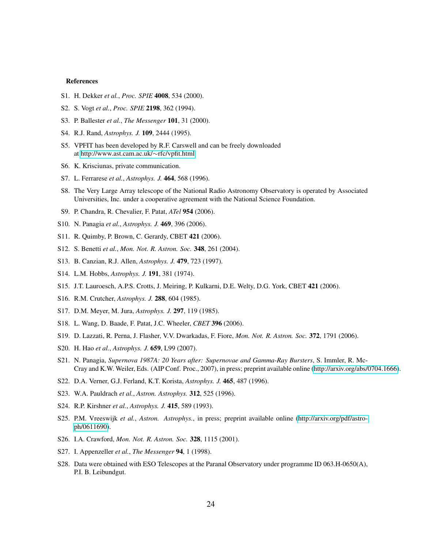#### References

- S1. H. Dekker *et al.*, *Proc. SPIE* 4008, 534 (2000).
- S2. S. Vogt *et al.*, *Proc. SPIE* 2198, 362 (1994).
- S3. P. Ballester *et al.*, *The Messenger* 101, 31 (2000).
- S4. R.J. Rand, *Astrophys. J.* 109, 2444 (1995).
- S5. VPFIT has been developed by R.F. Carswell and can be freely downloaded at [http://www.ast.cam.ac.uk/](http://www.ast.cam.ac.uk/~rfc/vpfit.html)∼rfc/vpfit.html
- S6. K. Krisciunas, private communication.
- S7. L. Ferrarese *et al.*, *Astrophys. J.* 464, 568 (1996).
- S8. The Very Large Array telescope of the National Radio Astronomy Observatory is operated by Associated Universities, Inc. under a cooperative agreement with the National Science Foundation.
- S9. P. Chandra, R. Chevalier, F. Patat, *ATel* 954 (2006).
- S10. N. Panagia *et al.*, *Astrophys. J.* 469, 396 (2006).
- S11. R. Quimby, P. Brown, C. Gerardy, CBET 421 (2006).
- S12. S. Benetti *et al.*, *Mon. Not. R. Astron. Soc.* 348, 261 (2004).
- S13. B. Canzian, R.J. Allen, *Astrophys. J.* 479, 723 (1997).
- S14. L.M. Hobbs, *Astrophys. J.* 191, 381 (1974).
- S15. J.T. Lauroesch, A.P.S. Crotts, J. Meiring, P. Kulkarni, D.E. Welty, D.G. York, CBET 421 (2006).
- S16. R.M. Crutcher, *Astrophys. J.* 288, 604 (1985).
- S17. D.M. Meyer, M. Jura, *Astrophys. J.* 297, 119 (1985).
- S18. L. Wang, D. Baade, F. Patat, J.C. Wheeler, *CBET* 396 (2006).
- S19. D. Lazzati, R. Perna, J. Flasher, V.V. Dwarkadas, F. Fiore, *Mon. Not. R. Astron. Soc.* 372, 1791 (2006).
- S20. H. Hao *et al.*, *Astrophys. J.* 659, L99 (2007).
- S21. N. Panagia, *Supernova 1987A: 20 Years after: Supernovae and Gamma-Ray Bursters*, S. Immler, R. Mc-Cray and K.W. Weiler, Eds. (AIP Conf. Proc., 2007), in press; preprint available online [\(http://arxiv.org/abs/0704.1666\)](http://arxiv.org/abs/0704.1666).
- S22. D.A. Verner, G.J. Ferland, K.T. Korista, *Astrophys. J.* 465, 487 (1996).
- S23. W.A. Pauldrach *et al.*, *Astron. Astrophys.* 312, 525 (1996).
- S24. R.P. Kirshner *et al.*, *Astrophys. J.* 415, 589 (1993).
- S25. P.M. Vreeswijk *et al.*, *Astron. Astrophys.*, in press; preprint available online [\(http://arxiv.org/pdf/astro](http://arxiv.org/pdf/astro-ph/0611690)[ph/0611690\)](http://arxiv.org/pdf/astro-ph/0611690).
- S26. I.A. Crawford, *Mon. Not. R. Astron. Soc.* 328, 1115 (2001).
- S27. I. Appenzeller *et al.*, *The Messenger* 94, 1 (1998).
- S28. Data were obtained with ESO Telescopes at the Paranal Observatory under programme ID 063.H-0650(A), P.I. B. Leibundgut.